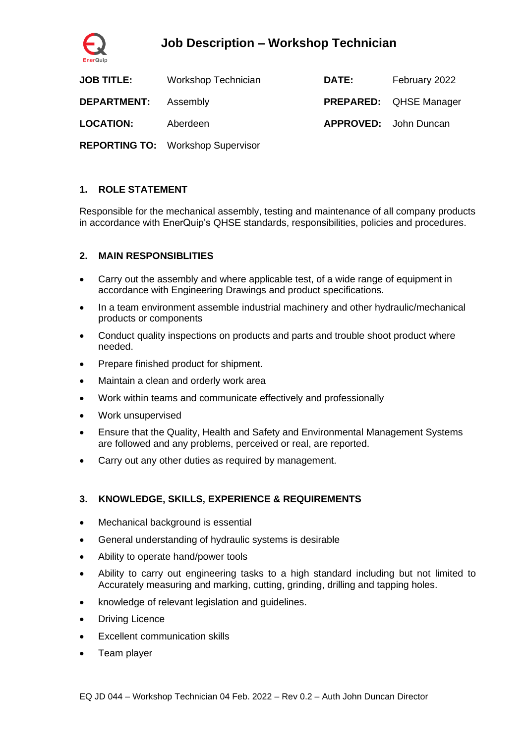

# **Job Description – Workshop Technician**

| <b>JOB TITLE:</b>  | Workshop Technician                      | <b>DATE:</b> | February 2022                 |
|--------------------|------------------------------------------|--------------|-------------------------------|
| <b>DEPARTMENT:</b> | Assembly                                 |              | <b>PREPARED:</b> QHSE Manager |
| <b>LOCATION:</b>   | Aberdeen                                 |              | <b>APPROVED:</b> John Duncan  |
|                    | <b>REPORTING TO: Workshop Supervisor</b> |              |                               |

### **1. ROLE STATEMENT**

Responsible for the mechanical assembly, testing and maintenance of all company products in accordance with EnerQuip's QHSE standards, responsibilities, policies and procedures.

### **2. MAIN RESPONSIBLITIES**

- Carry out the assembly and where applicable test, of a wide range of equipment in accordance with Engineering Drawings and product specifications.
- In a team environment assemble industrial machinery and other hydraulic/mechanical products or components
- Conduct quality inspections on products and parts and trouble shoot product where needed.
- Prepare finished product for shipment.
- Maintain a clean and orderly work area
- Work within teams and communicate effectively and professionally
- Work unsupervised
- Ensure that the Quality, Health and Safety and Environmental Management Systems are followed and any problems, perceived or real, are reported.
- Carry out any other duties as required by management.

#### **3. KNOWLEDGE, SKILLS, EXPERIENCE & REQUIREMENTS**

- Mechanical background is essential
- General understanding of hydraulic systems is desirable
- Ability to operate hand/power tools
- Ability to carry out engineering tasks to a high standard including but not limited to Accurately measuring and marking, cutting, grinding, drilling and tapping holes.
- knowledge of relevant legislation and guidelines.
- Driving Licence
- **Excellent communication skills**
- Team player